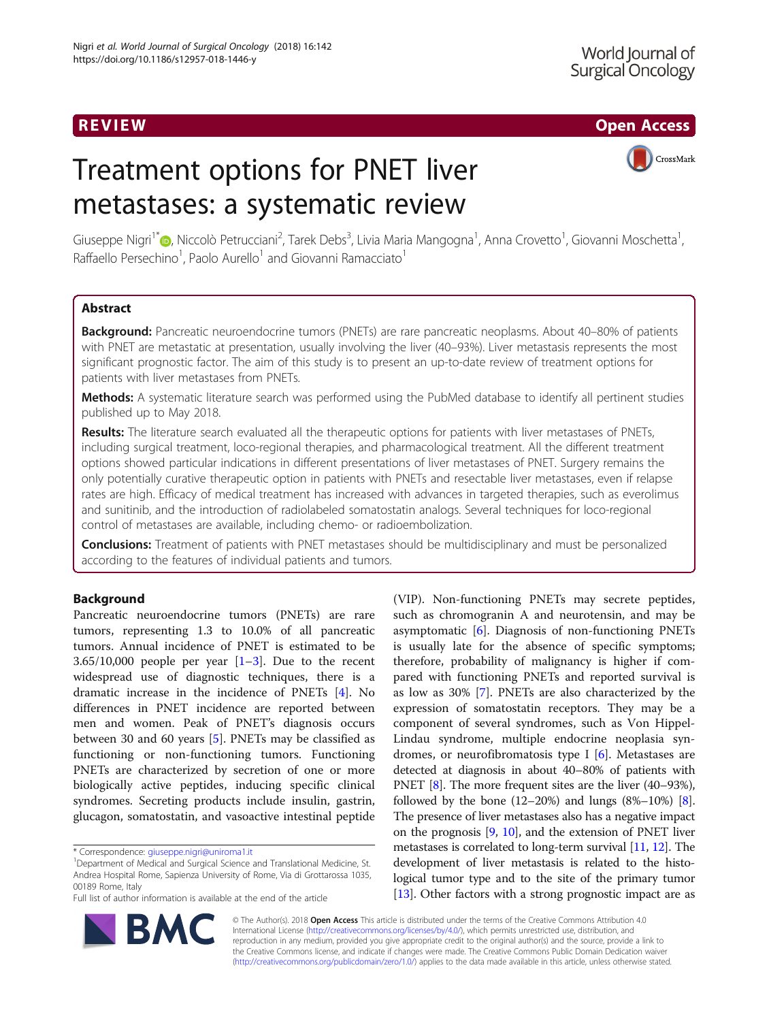R EVI EW Open Access

# Treatment options for PNET liver metastases: a systematic review



Giuseppe Nigri<sup>1\*</sup>®[,](http://orcid.org/0000-0002-7656-7789) Niccolò Petrucciani<sup>2</sup>, Tarek Debs<sup>3</sup>, Livia Maria Mangogna<sup>1</sup>, Anna Crovetto<sup>1</sup>, Giovanni Moschetta<sup>1</sup> , Raffaello Persechino<sup>1</sup>, Paolo Aurello<sup>1</sup> and Giovanni Ramacciato<sup>1</sup>

# Abstract

Background: Pancreatic neuroendocrine tumors (PNETs) are rare pancreatic neoplasms. About 40–80% of patients with PNET are metastatic at presentation, usually involving the liver (40–93%). Liver metastasis represents the most significant prognostic factor. The aim of this study is to present an up-to-date review of treatment options for patients with liver metastases from PNETs.

Methods: A systematic literature search was performed using the PubMed database to identify all pertinent studies published up to May 2018.

Results: The literature search evaluated all the therapeutic options for patients with liver metastases of PNETs, including surgical treatment, loco-regional therapies, and pharmacological treatment. All the different treatment options showed particular indications in different presentations of liver metastases of PNET. Surgery remains the only potentially curative therapeutic option in patients with PNETs and resectable liver metastases, even if relapse rates are high. Efficacy of medical treatment has increased with advances in targeted therapies, such as everolimus and sunitinib, and the introduction of radiolabeled somatostatin analogs. Several techniques for loco-regional control of metastases are available, including chemo- or radioembolization.

**Conclusions:** Treatment of patients with PNET metastases should be multidisciplinary and must be personalized according to the features of individual patients and tumors.

# Background

Pancreatic neuroendocrine tumors (PNETs) are rare tumors, representing 1.3 to 10.0% of all pancreatic tumors. Annual incidence of PNET is estimated to be  $3.65/10,000$  $3.65/10,000$  $3.65/10,000$  people per year  $[1-3]$  $[1-3]$ . Due to the recent widespread use of diagnostic techniques, there is a dramatic increase in the incidence of PNETs [\[4](#page-6-0)]. No differences in PNET incidence are reported between men and women. Peak of PNET's diagnosis occurs between 30 and 60 years [[5\]](#page-6-0). PNETs may be classified as functioning or non-functioning tumors. Functioning PNETs are characterized by secretion of one or more biologically active peptides, inducing specific clinical syndromes. Secreting products include insulin, gastrin, glucagon, somatostatin, and vasoactive intestinal peptide

BA



© The Author(s). 2018 Open Access This article is distributed under the terms of the Creative Commons Attribution 4.0 International License [\(http://creativecommons.org/licenses/by/4.0/](http://creativecommons.org/licenses/by/4.0/)), which permits unrestricted use, distribution, and reproduction in any medium, provided you give appropriate credit to the original author(s) and the source, provide a link to the Creative Commons license, and indicate if changes were made. The Creative Commons Public Domain Dedication waiver [\(http://creativecommons.org/publicdomain/zero/1.0/](http://creativecommons.org/publicdomain/zero/1.0/)) applies to the data made available in this article, unless otherwise stated.

<sup>\*</sup> Correspondence: [giuseppe.nigri@uniroma1.it](mailto:giuseppe.nigri@uniroma1.it) <sup>1</sup>

<sup>&</sup>lt;sup>1</sup>Department of Medical and Surgical Science and Translational Medicine, St. Andrea Hospital Rome, Sapienza University of Rome, Via di Grottarossa 1035, 00189 Rome, Italy

Full list of author information is available at the end of the article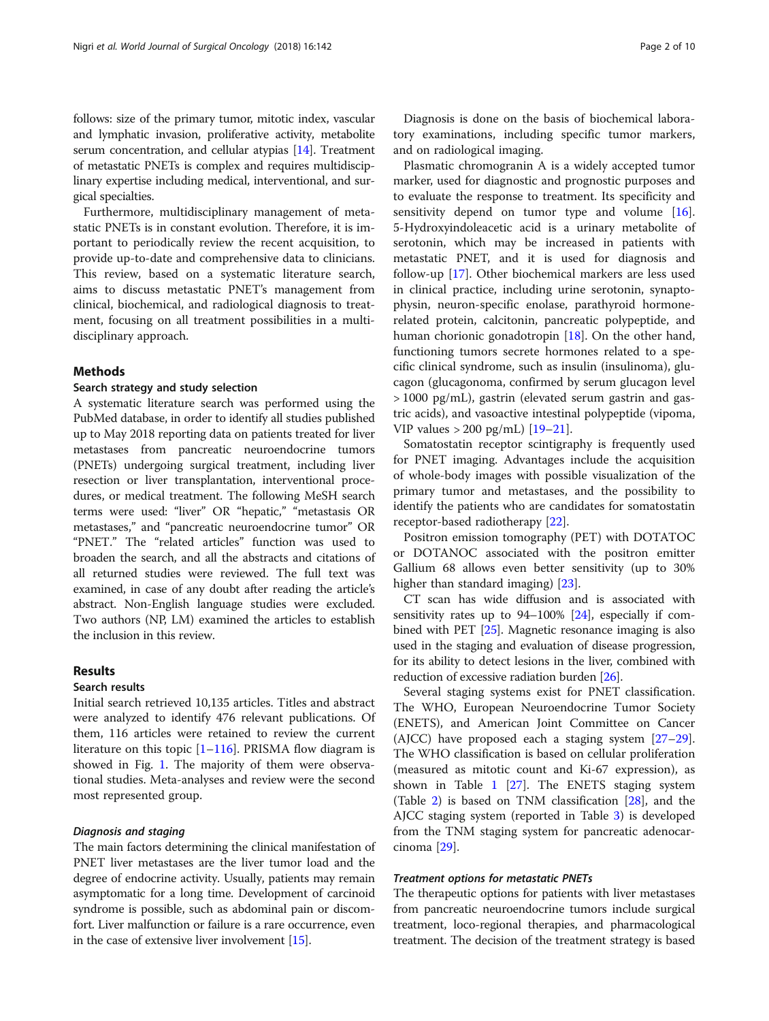follows: size of the primary tumor, mitotic index, vascular and lymphatic invasion, proliferative activity, metabolite serum concentration, and cellular atypias [\[14\]](#page-7-0). Treatment of metastatic PNETs is complex and requires multidisciplinary expertise including medical, interventional, and surgical specialties.

Furthermore, multidisciplinary management of metastatic PNETs is in constant evolution. Therefore, it is important to periodically review the recent acquisition, to provide up-to-date and comprehensive data to clinicians. This review, based on a systematic literature search, aims to discuss metastatic PNET's management from clinical, biochemical, and radiological diagnosis to treatment, focusing on all treatment possibilities in a multidisciplinary approach.

# Methods

#### Search strategy and study selection

A systematic literature search was performed using the PubMed database, in order to identify all studies published up to May 2018 reporting data on patients treated for liver metastases from pancreatic neuroendocrine tumors (PNETs) undergoing surgical treatment, including liver resection or liver transplantation, interventional procedures, or medical treatment. The following MeSH search terms were used: "liver" OR "hepatic," "metastasis OR metastases," and "pancreatic neuroendocrine tumor" OR "PNET." The "related articles" function was used to broaden the search, and all the abstracts and citations of all returned studies were reviewed. The full text was examined, in case of any doubt after reading the article's abstract. Non-English language studies were excluded. Two authors (NP, LM) examined the articles to establish the inclusion in this review.

# Results

#### Search results

Initial search retrieved 10,135 articles. Titles and abstract were analyzed to identify 476 relevant publications. Of them, 116 articles were retained to review the current literature on this topic  $[1–116]$  $[1–116]$  $[1–116]$  $[1–116]$  $[1–116]$ . PRISMA flow diagram is showed in Fig. [1](#page-2-0). The majority of them were observational studies. Meta-analyses and review were the second most represented group.

### Diagnosis and staging

The main factors determining the clinical manifestation of PNET liver metastases are the liver tumor load and the degree of endocrine activity. Usually, patients may remain asymptomatic for a long time. Development of carcinoid syndrome is possible, such as abdominal pain or discomfort. Liver malfunction or failure is a rare occurrence, even in the case of extensive liver involvement [\[15](#page-7-0)].

Diagnosis is done on the basis of biochemical laboratory examinations, including specific tumor markers, and on radiological imaging.

Plasmatic chromogranin A is a widely accepted tumor marker, used for diagnostic and prognostic purposes and to evaluate the response to treatment. Its specificity and sensitivity depend on tumor type and volume [\[16](#page-7-0)]. 5-Hydroxyindoleacetic acid is a urinary metabolite of serotonin, which may be increased in patients with metastatic PNET, and it is used for diagnosis and follow-up [[17](#page-7-0)]. Other biochemical markers are less used in clinical practice, including urine serotonin, synaptophysin, neuron-specific enolase, parathyroid hormonerelated protein, calcitonin, pancreatic polypeptide, and human chorionic gonadotropin [\[18\]](#page-7-0). On the other hand, functioning tumors secrete hormones related to a specific clinical syndrome, such as insulin (insulinoma), glucagon (glucagonoma, confirmed by serum glucagon level > 1000 pg/mL), gastrin (elevated serum gastrin and gastric acids), and vasoactive intestinal polypeptide (vipoma, VIP values > 200 pg/mL) [[19](#page-7-0)–[21](#page-7-0)].

Somatostatin receptor scintigraphy is frequently used for PNET imaging. Advantages include the acquisition of whole-body images with possible visualization of the primary tumor and metastases, and the possibility to identify the patients who are candidates for somatostatin receptor-based radiotherapy [[22\]](#page-7-0).

Positron emission tomography (PET) with DOTATOC or DOTANOC associated with the positron emitter Gallium 68 allows even better sensitivity (up to 30% higher than standard imaging) [[23\]](#page-7-0).

CT scan has wide diffusion and is associated with sensitivity rates up to  $94-100\%$  [\[24\]](#page-7-0), especially if combined with PET [\[25\]](#page-7-0). Magnetic resonance imaging is also used in the staging and evaluation of disease progression, for its ability to detect lesions in the liver, combined with reduction of excessive radiation burden [[26](#page-7-0)].

Several staging systems exist for PNET classification. The WHO, European Neuroendocrine Tumor Society (ENETS), and American Joint Committee on Cancer (AJCC) have proposed each a staging system [[27](#page-7-0)–[29](#page-7-0)]. The WHO classification is based on cellular proliferation (measured as mitotic count and Ki-67 expression), as shown in Table [1](#page-3-0) [\[27\]](#page-7-0). The ENETS staging system (Table [2](#page-3-0)) is based on TNM classification [[28\]](#page-7-0), and the AJCC staging system (reported in Table [3](#page-3-0)) is developed from the TNM staging system for pancreatic adenocarcinoma [[29\]](#page-7-0).

# Treatment options for metastatic PNETs

The therapeutic options for patients with liver metastases from pancreatic neuroendocrine tumors include surgical treatment, loco-regional therapies, and pharmacological treatment. The decision of the treatment strategy is based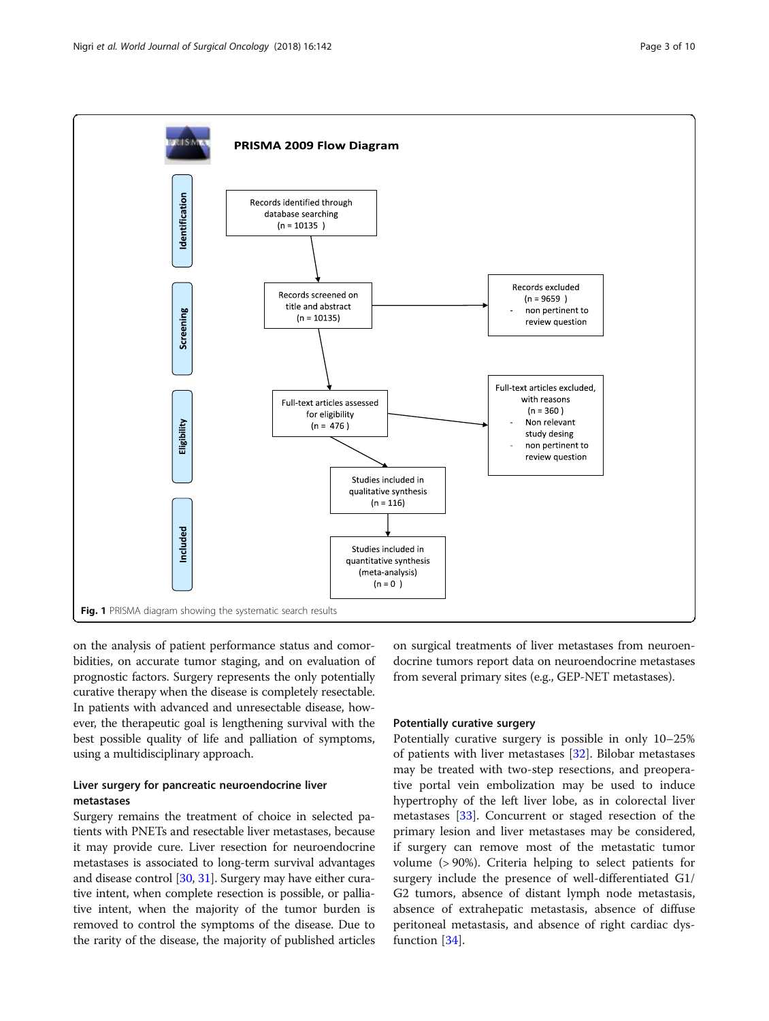<span id="page-2-0"></span>

on the analysis of patient performance status and comorbidities, on accurate tumor staging, and on evaluation of prognostic factors. Surgery represents the only potentially curative therapy when the disease is completely resectable. In patients with advanced and unresectable disease, however, the therapeutic goal is lengthening survival with the best possible quality of life and palliation of symptoms, using a multidisciplinary approach.

# Liver surgery for pancreatic neuroendocrine liver metastases

Surgery remains the treatment of choice in selected patients with PNETs and resectable liver metastases, because it may provide cure. Liver resection for neuroendocrine metastases is associated to long-term survival advantages and disease control [\[30,](#page-7-0) [31](#page-7-0)]. Surgery may have either curative intent, when complete resection is possible, or palliative intent, when the majority of the tumor burden is removed to control the symptoms of the disease. Due to the rarity of the disease, the majority of published articles on surgical treatments of liver metastases from neuroendocrine tumors report data on neuroendocrine metastases from several primary sites (e.g., GEP-NET metastases).

# Potentially curative surgery

Potentially curative surgery is possible in only 10–25% of patients with liver metastases [[32\]](#page-7-0). Bilobar metastases may be treated with two-step resections, and preoperative portal vein embolization may be used to induce hypertrophy of the left liver lobe, as in colorectal liver metastases [\[33](#page-7-0)]. Concurrent or staged resection of the primary lesion and liver metastases may be considered, if surgery can remove most of the metastatic tumor volume (> 90%). Criteria helping to select patients for surgery include the presence of well-differentiated G1/ G2 tumors, absence of distant lymph node metastasis, absence of extrahepatic metastasis, absence of diffuse peritoneal metastasis, and absence of right cardiac dysfunction [\[34\]](#page-7-0).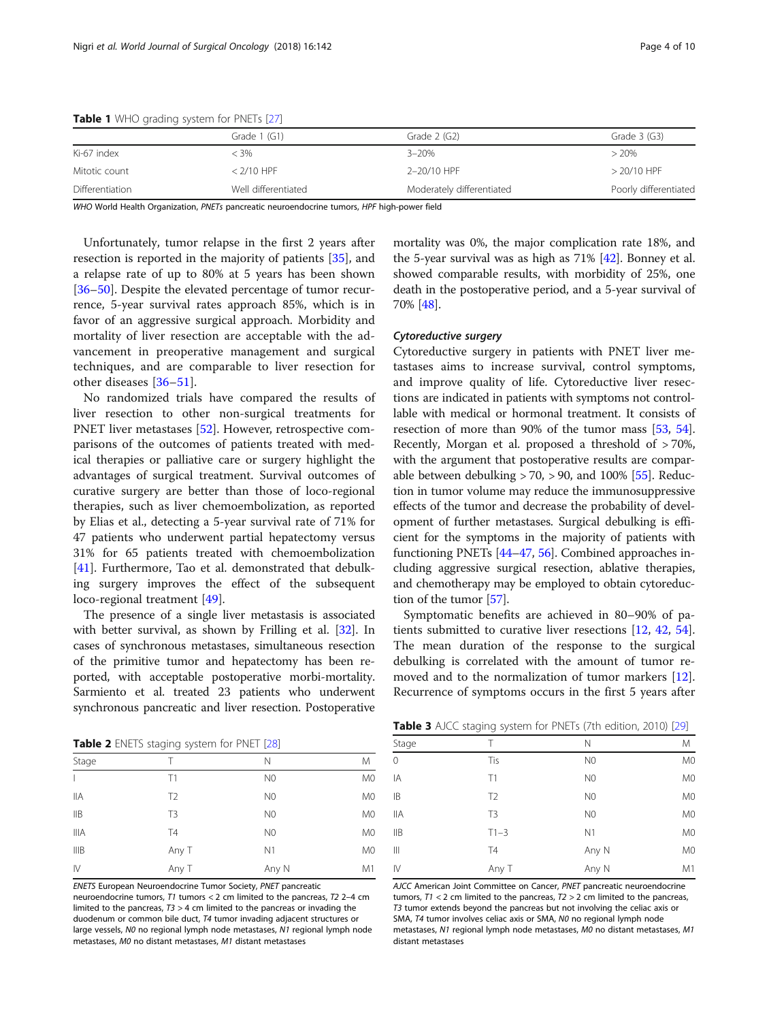|                 | Grade 1 (G1)        | Grade 2 (G2)              | Grade $3$ (G3)        |  |
|-----------------|---------------------|---------------------------|-----------------------|--|
| Ki-67 index     | < 3%                | $3 - 20%$                 | > 20%                 |  |
| Mitotic count   | $<$ 2/10 HPF        | 2-20/10 HPF               | $> 20/10$ HPF         |  |
| Differentiation | Well differentiated | Moderately differentiated | Poorly differentiated |  |

<span id="page-3-0"></span>Table 1 WHO grading system for PNETs [\[27\]](#page-7-0)

WHO World Health Organization, PNETs pancreatic neuroendocrine tumors, HPF high-power field

Unfortunately, tumor relapse in the first 2 years after resection is reported in the majority of patients [\[35](#page-7-0)], and a relapse rate of up to 80% at 5 years has been shown [[36](#page-7-0)–[50](#page-7-0)]. Despite the elevated percentage of tumor recurrence, 5-year survival rates approach 85%, which is in favor of an aggressive surgical approach. Morbidity and mortality of liver resection are acceptable with the advancement in preoperative management and surgical techniques, and are comparable to liver resection for other diseases [\[36](#page-7-0)–[51](#page-7-0)].

No randomized trials have compared the results of liver resection to other non-surgical treatments for PNET liver metastases [[52\]](#page-7-0). However, retrospective comparisons of the outcomes of patients treated with medical therapies or palliative care or surgery highlight the advantages of surgical treatment. Survival outcomes of curative surgery are better than those of loco-regional therapies, such as liver chemoembolization, as reported by Elias et al., detecting a 5-year survival rate of 71% for 47 patients who underwent partial hepatectomy versus 31% for 65 patients treated with chemoembolization [[41\]](#page-7-0). Furthermore, Tao et al. demonstrated that debulking surgery improves the effect of the subsequent loco-regional treatment [\[49](#page-7-0)].

The presence of a single liver metastasis is associated with better survival, as shown by Frilling et al. [[32](#page-7-0)]. In cases of synchronous metastases, simultaneous resection of the primitive tumor and hepatectomy has been reported, with acceptable postoperative morbi-mortality. Sarmiento et al. treated 23 patients who underwent synchronous pancreatic and liver resection. Postoperative

Table 2 ENETS staging system for PNET [[28](#page-7-0)]

| <b>Table 2</b> Livers staging system for Fiver [20] |                |                |                |  |  |
|-----------------------------------------------------|----------------|----------------|----------------|--|--|
| Stage                                               | Т              | N              | M              |  |  |
| $\mathbf{I}$                                        | T1             | N <sub>0</sub> | M <sub>0</sub> |  |  |
| <b>IIA</b>                                          | T <sub>2</sub> | N <sub>0</sub> | M <sub>0</sub> |  |  |
| IIB                                                 | T <sub>3</sub> | N <sub>0</sub> | M <sub>0</sub> |  |  |
| <b>IIIA</b>                                         | T4             | N <sub>0</sub> | M <sub>0</sub> |  |  |
| IIIB                                                | Any T          | N1             | M <sub>0</sub> |  |  |
| $\mathsf{N}$                                        | Any T          | Any N          | M1             |  |  |

ENETS European Neuroendocrine Tumor Society, PNET pancreatic

neuroendocrine tumors, T1 tumors < 2 cm limited to the pancreas, T2 2–4 cm limited to the pancreas, T3 > 4 cm limited to the pancreas or invading the duodenum or common bile duct, T4 tumor invading adjacent structures or large vessels, N0 no regional lymph node metastases, N1 regional lymph node metastases, M0 no distant metastases, M1 distant metastases

mortality was 0%, the major complication rate 18%, and the 5-year survival was as high as 71% [[42](#page-7-0)]. Bonney et al. showed comparable results, with morbidity of 25%, one death in the postoperative period, and a 5-year survival of 70% [[48](#page-7-0)].

#### Cytoreductive surgery

Cytoreductive surgery in patients with PNET liver metastases aims to increase survival, control symptoms, and improve quality of life. Cytoreductive liver resections are indicated in patients with symptoms not controllable with medical or hormonal treatment. It consists of resection of more than 90% of the tumor mass [\[53,](#page-7-0) [54](#page-7-0)]. Recently, Morgan et al. proposed a threshold of > 70%, with the argument that postoperative results are comparable between debulking  $> 70$ ,  $> 90$ , and 100% [\[55\]](#page-7-0). Reduction in tumor volume may reduce the immunosuppressive effects of the tumor and decrease the probability of development of further metastases. Surgical debulking is efficient for the symptoms in the majority of patients with functioning PNETs [\[44](#page-7-0)–[47](#page-7-0), [56\]](#page-8-0). Combined approaches including aggressive surgical resection, ablative therapies, and chemotherapy may be employed to obtain cytoreduction of the tumor [[57](#page-8-0)].

Symptomatic benefits are achieved in 80–90% of patients submitted to curative liver resections [\[12](#page-7-0), [42,](#page-7-0) [54](#page-7-0)]. The mean duration of the response to the surgical debulking is correlated with the amount of tumor removed and to the normalization of tumor markers [\[12](#page-7-0)]. Recurrence of symptoms occurs in the first 5 years after

Table 3 AJCC staging system for PNETs (7th edition, 2010) [[29](#page-7-0)]

|                | $\overline{\phantom{a}}$ |                |                |
|----------------|--------------------------|----------------|----------------|
| Stage          |                          | Ν              | M              |
| $\overline{O}$ | Tis                      | N <sub>0</sub> | M <sub>0</sub> |
| IA             | T1                       | N <sub>0</sub> | M <sub>0</sub> |
| IB             | T <sub>2</sub>           | N <sub>0</sub> | M <sub>0</sub> |
| <b>IIA</b>     | T <sub>3</sub>           | N <sub>0</sub> | M <sub>0</sub> |
| IIB            | $T1-3$                   | N1             | M <sub>0</sub> |
| $\parallel$    | <b>T4</b>                | Any N          | M <sub>0</sub> |
| IV             | Any T                    | Any N          | M1             |
|                |                          |                |                |

AJCC American Joint Committee on Cancer, PNET pancreatic neuroendocrine tumors,  $T1 < 2$  cm limited to the pancreas,  $T2 > 2$  cm limited to the pancreas, T3 tumor extends beyond the pancreas but not involving the celiac axis or SMA, T4 tumor involves celiac axis or SMA, N0 no regional lymph node metastases, N1 regional lymph node metastases, M0 no distant metastases, M1 distant metastases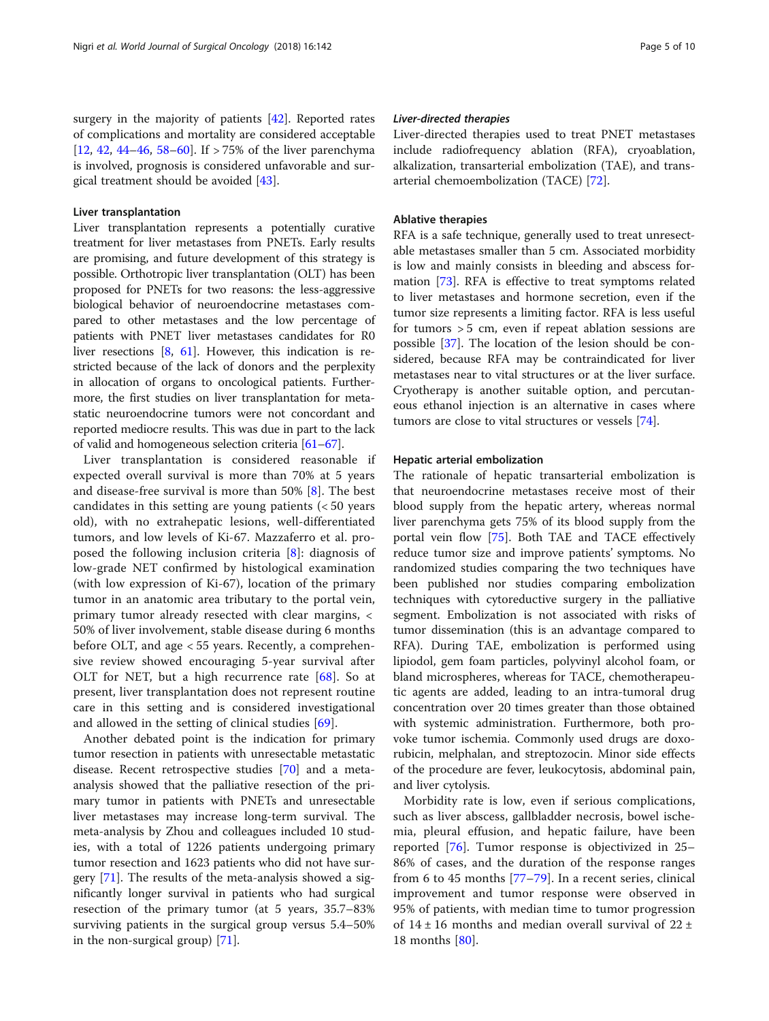#### Liver transplantation

Liver transplantation represents a potentially curative treatment for liver metastases from PNETs. Early results are promising, and future development of this strategy is possible. Orthotropic liver transplantation (OLT) has been proposed for PNETs for two reasons: the less-aggressive biological behavior of neuroendocrine metastases compared to other metastases and the low percentage of patients with PNET liver metastases candidates for R0 liver resections [[8](#page-6-0), [61](#page-8-0)]. However, this indication is restricted because of the lack of donors and the perplexity in allocation of organs to oncological patients. Furthermore, the first studies on liver transplantation for metastatic neuroendocrine tumors were not concordant and reported mediocre results. This was due in part to the lack of valid and homogeneous selection criteria [\[61](#page-8-0)–[67](#page-8-0)].

Liver transplantation is considered reasonable if expected overall survival is more than 70% at 5 years and disease-free survival is more than 50% [[8\]](#page-6-0). The best candidates in this setting are young patients  $\langle$  < 50 years old), with no extrahepatic lesions, well-differentiated tumors, and low levels of Ki-67. Mazzaferro et al. proposed the following inclusion criteria [[8](#page-6-0)]: diagnosis of low-grade NET confirmed by histological examination (with low expression of Ki-67), location of the primary tumor in an anatomic area tributary to the portal vein, primary tumor already resected with clear margins, < 50% of liver involvement, stable disease during 6 months before OLT, and age < 55 years. Recently, a comprehensive review showed encouraging 5-year survival after OLT for NET, but a high recurrence rate [\[68](#page-8-0)]. So at present, liver transplantation does not represent routine care in this setting and is considered investigational and allowed in the setting of clinical studies [\[69](#page-8-0)].

Another debated point is the indication for primary tumor resection in patients with unresectable metastatic disease. Recent retrospective studies [\[70](#page-8-0)] and a metaanalysis showed that the palliative resection of the primary tumor in patients with PNETs and unresectable liver metastases may increase long-term survival. The meta-analysis by Zhou and colleagues included 10 studies, with a total of 1226 patients undergoing primary tumor resection and 1623 patients who did not have surgery [\[71](#page-8-0)]. The results of the meta-analysis showed a significantly longer survival in patients who had surgical resection of the primary tumor (at 5 years, 35.7–83% surviving patients in the surgical group versus 5.4–50% in the non-surgical group) [[71](#page-8-0)].

#### Liver-directed therapies

Liver-directed therapies used to treat PNET metastases include radiofrequency ablation (RFA), cryoablation, alkalization, transarterial embolization (TAE), and transarterial chemoembolization (TACE) [\[72](#page-8-0)].

#### Ablative therapies

RFA is a safe technique, generally used to treat unresectable metastases smaller than 5 cm. Associated morbidity is low and mainly consists in bleeding and abscess formation [[73\]](#page-8-0). RFA is effective to treat symptoms related to liver metastases and hormone secretion, even if the tumor size represents a limiting factor. RFA is less useful for tumors > 5 cm, even if repeat ablation sessions are possible [\[37\]](#page-7-0). The location of the lesion should be considered, because RFA may be contraindicated for liver metastases near to vital structures or at the liver surface. Cryotherapy is another suitable option, and percutaneous ethanol injection is an alternative in cases where tumors are close to vital structures or vessels [[74\]](#page-8-0).

#### Hepatic arterial embolization

The rationale of hepatic transarterial embolization is that neuroendocrine metastases receive most of their blood supply from the hepatic artery, whereas normal liver parenchyma gets 75% of its blood supply from the portal vein flow [\[75\]](#page-8-0). Both TAE and TACE effectively reduce tumor size and improve patients' symptoms. No randomized studies comparing the two techniques have been published nor studies comparing embolization techniques with cytoreductive surgery in the palliative segment. Embolization is not associated with risks of tumor dissemination (this is an advantage compared to RFA). During TAE, embolization is performed using lipiodol, gem foam particles, polyvinyl alcohol foam, or bland microspheres, whereas for TACE, chemotherapeutic agents are added, leading to an intra-tumoral drug concentration over 20 times greater than those obtained with systemic administration. Furthermore, both provoke tumor ischemia. Commonly used drugs are doxorubicin, melphalan, and streptozocin. Minor side effects of the procedure are fever, leukocytosis, abdominal pain, and liver cytolysis.

Morbidity rate is low, even if serious complications, such as liver abscess, gallbladder necrosis, bowel ischemia, pleural effusion, and hepatic failure, have been reported [\[76](#page-8-0)]. Tumor response is objectivized in 25– 86% of cases, and the duration of the response ranges from 6 to 45 months [[77](#page-8-0)–[79\]](#page-8-0). In a recent series, clinical improvement and tumor response were observed in 95% of patients, with median time to tumor progression of  $14 \pm 16$  months and median overall survival of  $22 \pm 16$ 18 months [\[80](#page-8-0)].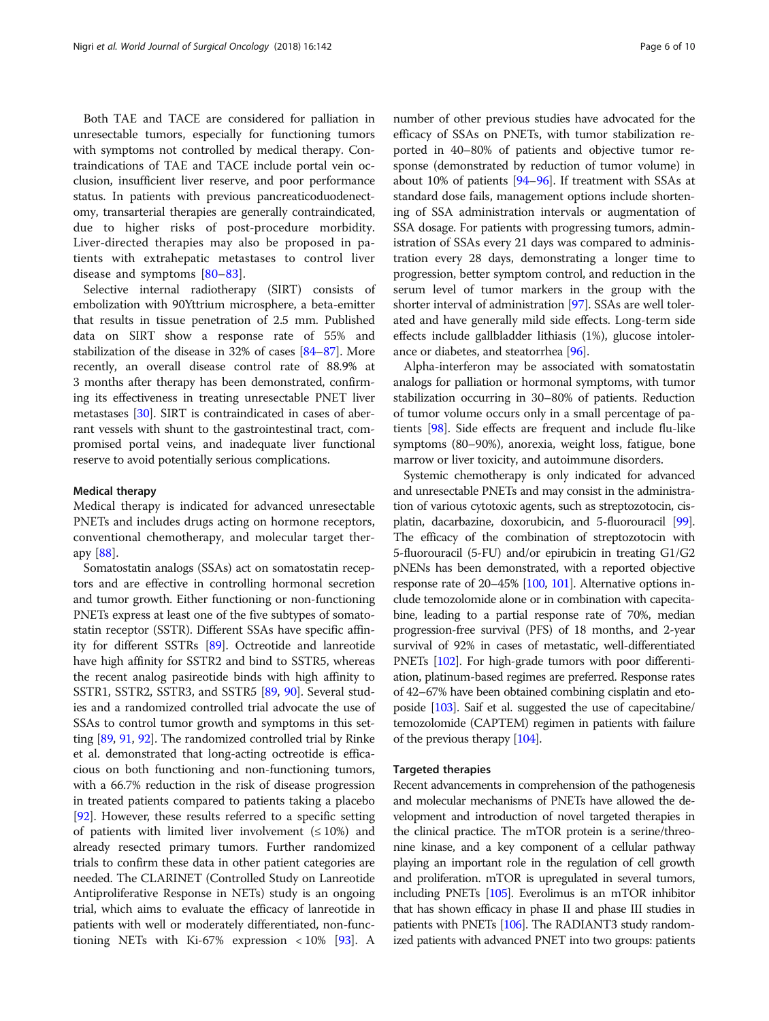Both TAE and TACE are considered for palliation in unresectable tumors, especially for functioning tumors with symptoms not controlled by medical therapy. Contraindications of TAE and TACE include portal vein occlusion, insufficient liver reserve, and poor performance status. In patients with previous pancreaticoduodenectomy, transarterial therapies are generally contraindicated, due to higher risks of post-procedure morbidity. Liver-directed therapies may also be proposed in patients with extrahepatic metastases to control liver disease and symptoms [[80](#page-8-0)–[83\]](#page-8-0).

Selective internal radiotherapy (SIRT) consists of embolization with 90Yttrium microsphere, a beta-emitter that results in tissue penetration of 2.5 mm. Published data on SIRT show a response rate of 55% and stabilization of the disease in 32% of cases [\[84](#page-8-0)–[87](#page-8-0)]. More recently, an overall disease control rate of 88.9% at 3 months after therapy has been demonstrated, confirming its effectiveness in treating unresectable PNET liver metastases [\[30\]](#page-7-0). SIRT is contraindicated in cases of aberrant vessels with shunt to the gastrointestinal tract, compromised portal veins, and inadequate liver functional reserve to avoid potentially serious complications.

#### Medical therapy

Medical therapy is indicated for advanced unresectable PNETs and includes drugs acting on hormone receptors, conventional chemotherapy, and molecular target therapy [[88\]](#page-8-0).

Somatostatin analogs (SSAs) act on somatostatin receptors and are effective in controlling hormonal secretion and tumor growth. Either functioning or non-functioning PNETs express at least one of the five subtypes of somatostatin receptor (SSTR). Different SSAs have specific affinity for different SSTRs [\[89\]](#page-8-0). Octreotide and lanreotide have high affinity for SSTR2 and bind to SSTR5, whereas the recent analog pasireotide binds with high affinity to SSTR1, SSTR2, SSTR3, and SSTR5 [\[89,](#page-8-0) [90\]](#page-8-0). Several studies and a randomized controlled trial advocate the use of SSAs to control tumor growth and symptoms in this setting [\[89,](#page-8-0) [91](#page-8-0), [92\]](#page-8-0). The randomized controlled trial by Rinke et al. demonstrated that long-acting octreotide is efficacious on both functioning and non-functioning tumors, with a 66.7% reduction in the risk of disease progression in treated patients compared to patients taking a placebo [[92](#page-8-0)]. However, these results referred to a specific setting of patients with limited liver involvement  $( \leq 10\%)$  and already resected primary tumors. Further randomized trials to confirm these data in other patient categories are needed. The CLARINET (Controlled Study on Lanreotide Antiproliferative Response in NETs) study is an ongoing trial, which aims to evaluate the efficacy of lanreotide in patients with well or moderately differentiated, non-functioning NETs with Ki-67% expression  $\lt 10\%$  [\[93\]](#page-8-0). A

number of other previous studies have advocated for the efficacy of SSAs on PNETs, with tumor stabilization reported in 40–80% of patients and objective tumor response (demonstrated by reduction of tumor volume) in about 10% of patients [\[94](#page-8-0)–[96](#page-8-0)]. If treatment with SSAs at standard dose fails, management options include shortening of SSA administration intervals or augmentation of SSA dosage. For patients with progressing tumors, administration of SSAs every 21 days was compared to administration every 28 days, demonstrating a longer time to progression, better symptom control, and reduction in the serum level of tumor markers in the group with the shorter interval of administration [\[97\]](#page-8-0). SSAs are well tolerated and have generally mild side effects. Long-term side effects include gallbladder lithiasis (1%), glucose intolerance or diabetes, and steatorrhea [[96](#page-8-0)].

Alpha-interferon may be associated with somatostatin analogs for palliation or hormonal symptoms, with tumor stabilization occurring in 30–80% of patients. Reduction of tumor volume occurs only in a small percentage of patients [\[98\]](#page-8-0). Side effects are frequent and include flu-like symptoms (80–90%), anorexia, weight loss, fatigue, bone marrow or liver toxicity, and autoimmune disorders.

Systemic chemotherapy is only indicated for advanced and unresectable PNETs and may consist in the administration of various cytotoxic agents, such as streptozotocin, cisplatin, dacarbazine, doxorubicin, and 5-fluorouracil [\[99](#page-8-0)]. The efficacy of the combination of streptozotocin with 5-fluorouracil (5-FU) and/or epirubicin in treating G1/G2 pNENs has been demonstrated, with a reported objective response rate of 20–45% [\[100](#page-8-0), [101](#page-8-0)]. Alternative options include temozolomide alone or in combination with capecitabine, leading to a partial response rate of 70%, median progression-free survival (PFS) of 18 months, and 2-year survival of 92% in cases of metastatic, well-differentiated PNETs [[102\]](#page-9-0). For high-grade tumors with poor differentiation, platinum-based regimes are preferred. Response rates of 42–67% have been obtained combining cisplatin and etoposide [[103\]](#page-9-0). Saif et al. suggested the use of capecitabine/ temozolomide (CAPTEM) regimen in patients with failure of the previous therapy [[104\]](#page-9-0).

### Targeted therapies

Recent advancements in comprehension of the pathogenesis and molecular mechanisms of PNETs have allowed the development and introduction of novel targeted therapies in the clinical practice. The mTOR protein is a serine/threonine kinase, and a key component of a cellular pathway playing an important role in the regulation of cell growth and proliferation. mTOR is upregulated in several tumors, including PNETs [\[105\]](#page-9-0). Everolimus is an mTOR inhibitor that has shown efficacy in phase II and phase III studies in patients with PNETs [\[106](#page-9-0)]. The RADIANT3 study randomized patients with advanced PNET into two groups: patients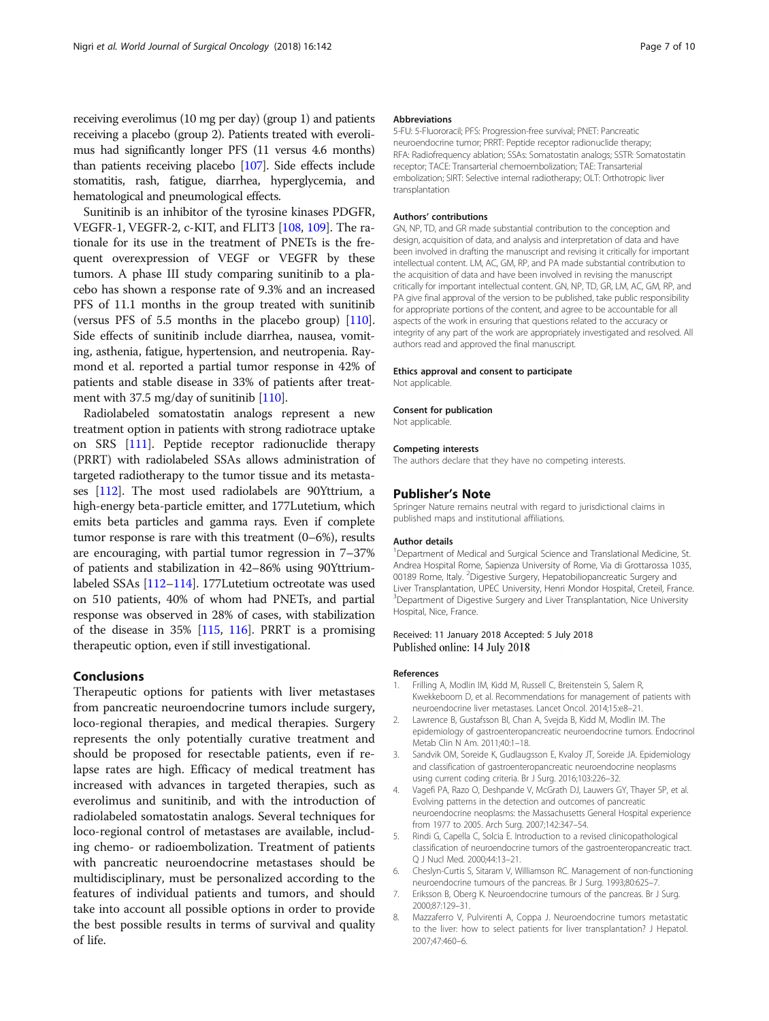<span id="page-6-0"></span>receiving everolimus (10 mg per day) (group 1) and patients receiving a placebo (group 2). Patients treated with everolimus had significantly longer PFS (11 versus 4.6 months) than patients receiving placebo [\[107](#page-9-0)]. Side effects include stomatitis, rash, fatigue, diarrhea, hyperglycemia, and hematological and pneumological effects.

Sunitinib is an inhibitor of the tyrosine kinases PDGFR, VEGFR-1, VEGFR-2, c-KIT, and FLIT3 [[108](#page-9-0), [109](#page-9-0)]. The rationale for its use in the treatment of PNETs is the frequent overexpression of VEGF or VEGFR by these tumors. A phase III study comparing sunitinib to a placebo has shown a response rate of 9.3% and an increased PFS of 11.1 months in the group treated with sunitinib (versus PFS of 5.5 months in the placebo group) [[110](#page-9-0)]. Side effects of sunitinib include diarrhea, nausea, vomiting, asthenia, fatigue, hypertension, and neutropenia. Raymond et al. reported a partial tumor response in 42% of patients and stable disease in 33% of patients after treatment with 37.5 mg/day of sunitinib [\[110\]](#page-9-0).

Radiolabeled somatostatin analogs represent a new treatment option in patients with strong radiotrace uptake on SRS [\[111](#page-9-0)]. Peptide receptor radionuclide therapy (PRRT) with radiolabeled SSAs allows administration of targeted radiotherapy to the tumor tissue and its metastases [[112](#page-9-0)]. The most used radiolabels are 90Yttrium, a high-energy beta-particle emitter, and 177Lutetium, which emits beta particles and gamma rays. Even if complete tumor response is rare with this treatment (0–6%), results are encouraging, with partial tumor regression in 7–37% of patients and stabilization in 42–86% using 90Yttriumlabeled SSAs [\[112](#page-9-0)–[114\]](#page-9-0). 177Lutetium octreotate was used on 510 patients, 40% of whom had PNETs, and partial response was observed in 28% of cases, with stabilization of the disease in 35% [\[115,](#page-9-0) [116\]](#page-9-0). PRRT is a promising therapeutic option, even if still investigational.

## Conclusions

Therapeutic options for patients with liver metastases from pancreatic neuroendocrine tumors include surgery, loco-regional therapies, and medical therapies. Surgery represents the only potentially curative treatment and should be proposed for resectable patients, even if relapse rates are high. Efficacy of medical treatment has increased with advances in targeted therapies, such as everolimus and sunitinib, and with the introduction of radiolabeled somatostatin analogs. Several techniques for loco-regional control of metastases are available, including chemo- or radioembolization. Treatment of patients with pancreatic neuroendocrine metastases should be multidisciplinary, must be personalized according to the features of individual patients and tumors, and should take into account all possible options in order to provide the best possible results in terms of survival and quality of life.

#### Abbreviations

5-FU: 5-Fluororacil; PFS: Progression-free survival; PNET: Pancreatic neuroendocrine tumor; PRRT: Peptide receptor radionuclide therapy; RFA: Radiofrequency ablation; SSAs: Somatostatin analogs; SSTR: Somatostatin receptor; TACE: Transarterial chemoembolization; TAE: Transarterial embolization; SIRT: Selective internal radiotherapy; OLT: Orthotropic liver transplantation

#### Authors' contributions

GN, NP, TD, and GR made substantial contribution to the conception and design, acquisition of data, and analysis and interpretation of data and have been involved in drafting the manuscript and revising it critically for important intellectual content. LM, AC, GM, RP, and PA made substantial contribution to the acquisition of data and have been involved in revising the manuscript critically for important intellectual content. GN, NP, TD, GR, LM, AC, GM, RP, and PA give final approval of the version to be published, take public responsibility for appropriate portions of the content, and agree to be accountable for all aspects of the work in ensuring that questions related to the accuracy or integrity of any part of the work are appropriately investigated and resolved. All authors read and approved the final manuscript.

#### Ethics approval and consent to participate

Not applicable.

#### Consent for publication

Not applicable.

#### Competing interests

The authors declare that they have no competing interests.

#### Publisher's Note

Springer Nature remains neutral with regard to jurisdictional claims in published maps and institutional affiliations.

#### Author details

<sup>1</sup>Department of Medical and Surgical Science and Translational Medicine, St Andrea Hospital Rome, Sapienza University of Rome, Via di Grottarossa 1035, 00189 Rome, Italy. <sup>2</sup> Digestive Surgery, Hepatobiliopancreatic Surgery and Liver Transplantation, UPEC University, Henri Mondor Hospital, Creteil, France. <sup>3</sup>Department of Digestive Surgery and Liver Transplantation, Nice University Hospital, Nice, France.

#### Received: 11 January 2018 Accepted: 5 July 2018 Published online: 14 July 2018

#### References

- 1. Frilling A, Modlin IM, Kidd M, Russell C, Breitenstein S, Salem R, Kwekkeboom D, et al. Recommendations for management of patients with neuroendocrine liver metastases. Lancet Oncol. 2014;15:e8–21.
- 2. Lawrence B, Gustafsson BI, Chan A, Svejda B, Kidd M, Modlin IM. The epidemiology of gastroenteropancreatic neuroendocrine tumors. Endocrinol Metab Clin N Am. 2011;40:1–18.
- 3. Sandvik OM, Soreide K, Gudlaugsson E, Kvaloy JT, Soreide JA. Epidemiology and classification of gastroenteropancreatic neuroendocrine neoplasms using current coding criteria. Br J Surg. 2016;103:226–32.
- 4. Vagefi PA, Razo O, Deshpande V, McGrath DJ, Lauwers GY, Thayer SP, et al. Evolving patterns in the detection and outcomes of pancreatic neuroendocrine neoplasms: the Massachusetts General Hospital experience from 1977 to 2005. Arch Surg. 2007;142:347–54.
- 5. Rindi G, Capella C, Solcia E. Introduction to a revised clinicopathological classification of neuroendocrine tumors of the gastroenteropancreatic tract. Q J Nucl Med. 2000;44:13–21.
- 6. Cheslyn-Curtis S, Sitaram V, Williamson RC. Management of non-functioning neuroendocrine tumours of the pancreas. Br J Surg. 1993;80:625–7.
- 7. Eriksson B, Oberg K. Neuroendocrine tumours of the pancreas. Br J Surg. 2000;87:129–31.
- 8. Mazzaferro V, Pulvirenti A, Coppa J. Neuroendocrine tumors metastatic to the liver: how to select patients for liver transplantation? J Hepatol. 2007;47:460–6.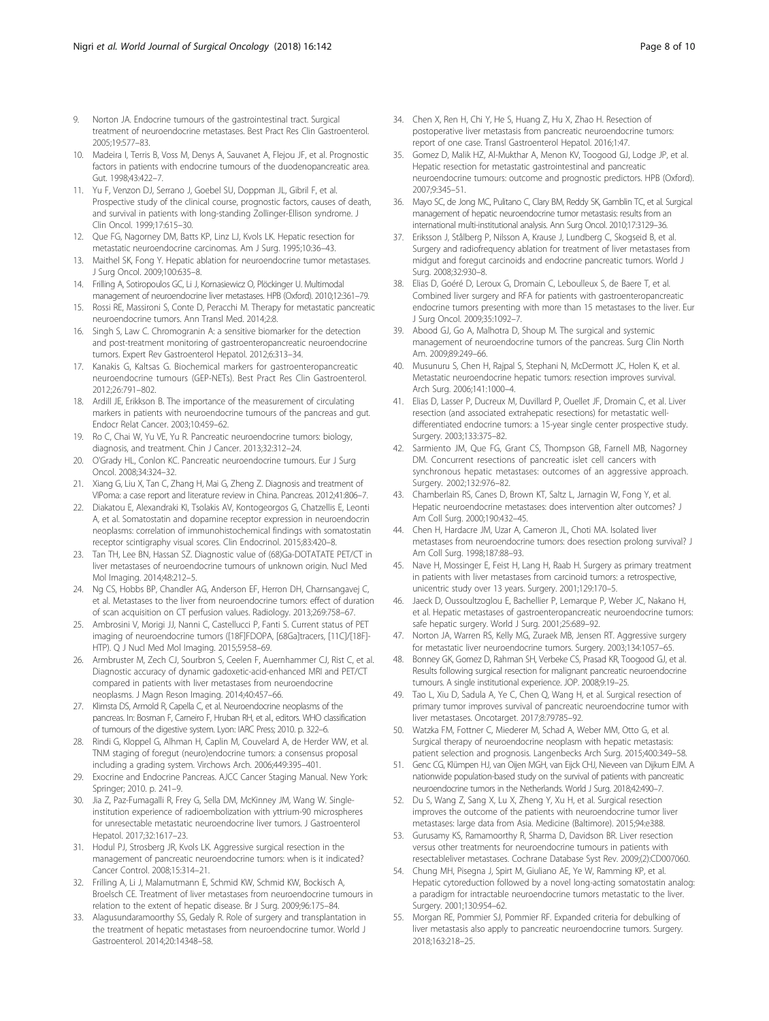- <span id="page-7-0"></span>9. Norton JA. Endocrine tumours of the gastrointestinal tract. Surgical treatment of neuroendocrine metastases. Best Pract Res Clin Gastroenterol. 2005;19:577–83.
- 10. Madeira I, Terris B, Voss M, Denys A, Sauvanet A, Flejou JF, et al. Prognostic factors in patients with endocrine tumours of the duodenopancreatic area. Gut. 1998;43:422–7.
- 11. Yu F, Venzon DJ, Serrano J, Goebel SU, Doppman JL, Gibril F, et al. Prospective study of the clinical course, prognostic factors, causes of death, and survival in patients with long-standing Zollinger-Ellison syndrome. J Clin Oncol. 1999;17:615–30.
- 12. Que FG, Nagorney DM, Batts KP, Linz LJ, Kvols LK. Hepatic resection for metastatic neuroendocrine carcinomas. Am J Surg. 1995;10:36–43.
- 13. Maithel SK, Fong Y. Hepatic ablation for neuroendocrine tumor metastases. J Surg Oncol. 2009;100:635–8.
- 14. Frilling A, Sotiropoulos GC, Li J, Kornasiewicz O, Plöckinger U. Multimodal management of neuroendocrine liver metastases. HPB (Oxford). 2010;12:361–79.
- 15. Rossi RE, Massironi S, Conte D, Peracchi M. Therapy for metastatic pancreatic neuroendocrine tumors. Ann Transl Med. 2014;2:8.
- 16. Singh S, Law C. Chromogranin A: a sensitive biomarker for the detection and post-treatment monitoring of gastroenteropancreatic neuroendocrine tumors. Expert Rev Gastroenterol Hepatol. 2012;6:313–34.
- 17. Kanakis G, Kaltsas G. Biochemical markers for gastroenteropancreatic neuroendocrine tumours (GEP-NETs). Best Pract Res Clin Gastroenterol. 2012;26:791–802.
- 18. Ardill JE, Erikkson B. The importance of the measurement of circulating markers in patients with neuroendocrine tumours of the pancreas and gut. Endocr Relat Cancer. 2003;10:459–62.
- 19. Ro C, Chai W, Yu VE, Yu R. Pancreatic neuroendocrine tumors: biology, diagnosis, and treatment. Chin J Cancer. 2013;32:312–24.
- 20. O'Grady HL, Conlon KC. Pancreatic neuroendocrine tumours. Eur J Surg Oncol. 2008;34:324–32.
- 21. Xiang G, Liu X, Tan C, Zhang H, Mai G, Zheng Z. Diagnosis and treatment of VIPoma: a case report and literature review in China. Pancreas. 2012;41:806–7.
- 22. Diakatou E, Alexandraki KI, Tsolakis AV, Kontogeorgos G, Chatzellis E, Leonti A, et al. Somatostatin and dopamine receptor expression in neuroendocrin neoplasms: correlation of immunohistochemical findings with somatostatin receptor scintigraphy visual scores. Clin Endocrinol. 2015;83:420–8.
- 23. Tan TH, Lee BN, Hassan SZ. Diagnostic value of (68)Ga-DOTATATE PET/CT in liver metastases of neuroendocrine tumours of unknown origin. Nucl Med Mol Imaging. 2014;48:212–5.
- 24. Ng CS, Hobbs BP, Chandler AG, Anderson EF, Herron DH, Charnsangavej C, et al. Metastases to the liver from neuroendocrine tumors: effect of duration of scan acquisition on CT perfusion values. Radiology. 2013;269:758–67.
- 25. Ambrosini V, Morigi JJ, Nanni C, Castellucci P, Fanti S. Current status of PET imaging of neuroendocrine tumors ([18F]FDOPA, [68Ga]tracers, [11C]/[18F]- HTP). Q J Nucl Med Mol Imaging. 2015;59:58–69.
- 26. Armbruster M, Zech CJ, Sourbron S, Ceelen F, Auernhammer CJ, Rist C, et al. Diagnostic accuracy of dynamic gadoxetic-acid-enhanced MRI and PET/CT compared in patients with liver metastases from neuroendocrine neoplasms. J Magn Reson Imaging. 2014;40:457–66.
- 27. Klimsta DS, Armold R, Capella C, et al. Neuroendocrine neoplasms of the pancreas. In: Bosman F, Carneiro F, Hruban RH, et al., editors. WHO classification of tumours of the digestive system. Lyon: IARC Press; 2010. p. 322–6.
- 28. Rindi G, Kloppel G, Alhman H, Caplin M, Couvelard A, de Herder WW, et al. TNM staging of foregut (neuro)endocrine tumors: a consensus proposal including a grading system. Virchows Arch. 2006;449:395–401.
- 29. Exocrine and Endocrine Pancreas. AJCC Cancer Staging Manual. New York: Springer; 2010. p. 241–9.
- 30. Jia Z, Paz-Fumagalli R, Frey G, Sella DM, McKinney JM, Wang W. Singleinstitution experience of radioembolization with yttrium-90 microspheres for unresectable metastatic neuroendocrine liver tumors. J Gastroenterol Hepatol. 2017;32:1617–23.
- 31. Hodul PJ, Strosberg JR, Kvols LK. Aggressive surgical resection in the management of pancreatic neuroendocrine tumors: when is it indicated? Cancer Control. 2008;15:314–21.
- 32. Frilling A, Li J, Malamutmann E, Schmid KW, Schmid KW, Bockisch A, Broelsch CE. Treatment of liver metastases from neuroendocrine tumours in relation to the extent of hepatic disease. Br J Surg. 2009;96:175–84.
- 33. Alagusundaramoorthy SS, Gedaly R. Role of surgery and transplantation in the treatment of hepatic metastases from neuroendocrine tumor. World J Gastroenterol. 2014;20:14348–58.
- 34. Chen X, Ren H, Chi Y, He S, Huang Z, Hu X, Zhao H. Resection of postoperative liver metastasis from pancreatic neuroendocrine tumors: report of one case. Transl Gastroenterol Hepatol. 2016;1:47.
- 35. Gomez D, Malik HZ, Al-Mukthar A, Menon KV, Toogood GJ, Lodge JP, et al. Hepatic resection for metastatic gastrointestinal and pancreatic neuroendocrine tumours: outcome and prognostic predictors. HPB (Oxford). 2007;9:345–51.
- 36. Mayo SC, de Jong MC, Pulitano C, Clary BM, Reddy SK, Gamblin TC, et al. Surgical management of hepatic neuroendocrine tumor metastasis: results from an international multi-institutional analysis. Ann Surg Oncol. 2010;17:3129–36.
- 37. Eriksson J, Stålberg P, Nilsson A, Krause J, Lundberg C, Skogseid B, et al. Surgery and radiofrequency ablation for treatment of liver metastases from midgut and foregut carcinoids and endocrine pancreatic tumors. World J Surg. 2008;32:930–8.
- 38. Elias D, Goéré D, Leroux G, Dromain C, Leboulleux S, de Baere T, et al. Combined liver surgery and RFA for patients with gastroenteropancreatic endocrine tumors presenting with more than 15 metastases to the liver. Eur J Surg Oncol. 2009;35:1092–7.
- 39. Abood GJ, Go A, Malhotra D, Shoup M. The surgical and systemic management of neuroendocrine tumors of the pancreas. Surg Clin North Am. 2009;89:249–66.
- 40. Musunuru S, Chen H, Rajpal S, Stephani N, McDermott JC, Holen K, et al. Metastatic neuroendocrine hepatic tumors: resection improves survival. Arch Surg. 2006;141:1000–4.
- 41. Elias D, Lasser P, Ducreux M, Duvillard P, Ouellet JF, Dromain C, et al. Liver resection (and associated extrahepatic resections) for metastatic welldifferentiated endocrine tumors: a 15-year single center prospective study. Surgery. 2003;133:375–82.
- 42. Sarmiento JM, Que FG, Grant CS, Thompson GB, Farnell MB, Nagorney DM. Concurrent resections of pancreatic islet cell cancers with synchronous hepatic metastases: outcomes of an aggressive approach. Surgery. 2002;132:976–82.
- 43. Chamberlain RS, Canes D, Brown KT, Saltz L, Jarnagin W, Fong Y, et al. Hepatic neuroendocrine metastases: does intervention alter outcomes? J Am Coll Surg. 2000;190:432–45.
- 44. Chen H, Hardacre JM, Uzar A, Cameron JL, Choti MA. Isolated liver metastases from neuroendocrine tumors: does resection prolong survival? J Am Coll Surg. 1998;187:88–93.
- 45. Nave H, Mossinger E, Feist H, Lang H, Raab H. Surgery as primary treatment in patients with liver metastases from carcinoid tumors: a retrospective, unicentric study over 13 years. Surgery. 2001;129:170–5.
- 46. Jaeck D, Oussoultzoglou E, Bachellier P, Lemarque P, Weber JC, Nakano H, et al. Hepatic metastases of gastroenteropancreatic neuroendocrine tumors: safe hepatic surgery. World J Surg. 2001;25:689–92.
- 47. Norton JA, Warren RS, Kelly MG, Zuraek MB, Jensen RT. Aggressive surgery for metastatic liver neuroendocrine tumors. Surgery. 2003;134:1057–65.
- 48. Bonney GK, Gomez D, Rahman SH, Verbeke CS, Prasad KR, Toogood GJ, et al. Results following surgical resection for malignant pancreatic neuroendocrine tumours. A single institutional experience. JOP. 2008;9:19–25.
- 49. Tao L, Xiu D, Sadula A, Ye C, Chen Q, Wang H, et al. Surgical resection of primary tumor improves survival of pancreatic neuroendocrine tumor with liver metastases. Oncotarget. 2017;8:79785–92.
- 50. Watzka FM, Fottner C, Miederer M, Schad A, Weber MM, Otto G, et al. Surgical therapy of neuroendocrine neoplasm with hepatic metastasis: patient selection and prognosis. Langenbecks Arch Surg. 2015;400:349–58.
- 51. Genc CG, Klümpen HJ, van Oijen MGH, van Eijck CHJ, Nieveen van Dijkum EJM. A nationwide population-based study on the survival of patients with pancreatic neuroendocrine tumors in the Netherlands. World J Surg. 2018;42:490–7.
- 52. Du S, Wang Z, Sang X, Lu X, Zheng Y, Xu H, et al. Surgical resection improves the outcome of the patients with neuroendocrine tumor liver metastases: large data from Asia. Medicine (Baltimore). 2015;94:e388.
- 53. Gurusamy KS, Ramamoorthy R, Sharma D, Davidson BR. Liver resection versus other treatments for neuroendocrine tumours in patients with resectableliver metastases. Cochrane Database Syst Rev. 2009;(2):CD007060.
- 54. Chung MH, Pisegna J, Spirt M, Giuliano AE, Ye W, Ramming KP, et al. Hepatic cytoreduction followed by a novel long-acting somatostatin analog: a paradigm for intractable neuroendocrine tumors metastatic to the liver. Surgery. 2001;130:954–62.
- 55. Morgan RE, Pommier SJ, Pommier RF. Expanded criteria for debulking of liver metastasis also apply to pancreatic neuroendocrine tumors. Surgery. 2018;163:218–25.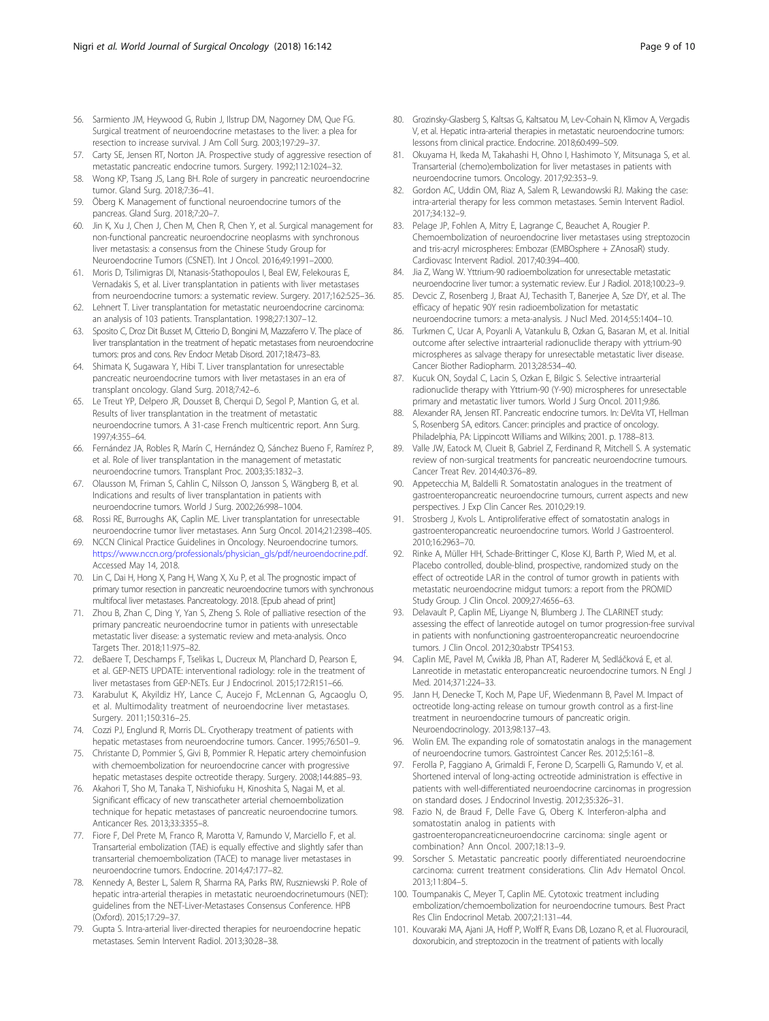- <span id="page-8-0"></span>56. Sarmiento JM, Heywood G, Rubin J, Ilstrup DM, Nagorney DM, Que FG. Surgical treatment of neuroendocrine metastases to the liver: a plea for resection to increase survival. J Am Coll Surg. 2003;197:29–37.
- 57. Carty SE, Jensen RT, Norton JA. Prospective study of aggressive resection of metastatic pancreatic endocrine tumors. Surgery. 1992;112:1024–32.
- 58. Wong KP, Tsang JS, Lang BH. Role of surgery in pancreatic neuroendocrine tumor. Gland Surg. 2018;7:36–41.
- 59. Öberg K. Management of functional neuroendocrine tumors of the pancreas. Gland Surg. 2018;7:20–7.
- 60. Jin K, Xu J, Chen J, Chen M, Chen R, Chen Y, et al. Surgical management for non-functional pancreatic neuroendocrine neoplasms with synchronous liver metastasis: a consensus from the Chinese Study Group for Neuroendocrine Tumors (CSNET). Int J Oncol. 2016;49:1991–2000.
- 61. Moris D, Tsilimigras DI, Ntanasis-Stathopoulos I, Beal EW, Felekouras E, Vernadakis S, et al. Liver transplantation in patients with liver metastases from neuroendocrine tumors: a systematic review. Surgery. 2017;162:525–36.
- 62. Lehnert T. Liver transplantation for metastatic neuroendocrine carcinoma: an analysis of 103 patients. Transplantation. 1998;27:1307–12.
- 63. Sposito C, Droz Dit Busset M, Citterio D, Bongini M, Mazzaferro V. The place of liver transplantation in the treatment of hepatic metastases from neuroendocrine tumors: pros and cons. Rev Endocr Metab Disord. 2017;18:473–83.
- 64. Shimata K, Sugawara Y, Hibi T. Liver transplantation for unresectable pancreatic neuroendocrine tumors with liver metastases in an era of transplant oncology. Gland Surg. 2018;7:42–6.
- Le Treut YP, Delpero JR, Dousset B, Cherqui D, Segol P, Mantion G, et al. Results of liver transplantation in the treatment of metastatic neuroendocrine tumors. A 31-case French multicentric report. Ann Surg. 1997;4:355–64.
- 66. Fernández JA, Robles R, Marín C, Hernández Q, Sánchez Bueno F, Ramírez P, et al. Role of liver transplantation in the management of metastatic neuroendocrine tumors. Transplant Proc. 2003;35:1832–3.
- 67. Olausson M, Friman S, Cahlin C, Nilsson O, Jansson S, Wängberg B, et al. Indications and results of liver transplantation in patients with neuroendocrine tumors. World J Surg. 2002;26:998–1004.
- 68. Rossi RE, Burroughs AK, Caplin ME. Liver transplantation for unresectable neuroendocrine tumor liver metastases. Ann Surg Oncol. 2014;21:2398–405.
- 69. NCCN Clinical Practice Guidelines in Oncology. Neuroendocrine tumors. [https://www.nccn.org/professionals/physician\\_gls/pdf/neuroendocrine.pdf.](https://www.nccn.org/professionals/physician_gls/pdf/neuroendocrine.pdf) Accessed May 14, 2018.
- 70. Lin C, Dai H, Hong X, Pang H, Wang X, Xu P, et al. The prognostic impact of primary tumor resection in pancreatic neuroendocrine tumors with synchronous multifocal liver metastases. Pancreatology. 2018. [Epub ahead of print]
- 71. Zhou B, Zhan C, Ding Y, Yan S, Zheng S. Role of palliative resection of the primary pancreatic neuroendocrine tumor in patients with unresectable metastatic liver disease: a systematic review and meta-analysis. Onco Targets Ther. 2018;11:975–82.
- 72. deBaere T, Deschamps F, Tselikas L, Ducreux M, Planchard D, Pearson E, et al. GEP-NETS UPDATE: interventional radiology: role in the treatment of liver metastases from GEP-NETs. Eur J Endocrinol. 2015;172:R151–66.
- 73. Karabulut K, Akyildiz HY, Lance C, Aucejo F, McLennan G, Agcaoglu O, et al. Multimodality treatment of neuroendocrine liver metastases. Surgery. 2011;150:316–25.
- 74. Cozzi PJ, Englund R, Morris DL. Cryotherapy treatment of patients with hepatic metastases from neuroendocrine tumors. Cancer. 1995;76:501–9.
- 75. Christante D, Pommier S, Givi B, Pommier R. Hepatic artery chemoinfusion with chemoembolization for neuroendocrine cancer with progressive hepatic metastases despite octreotide therapy. Surgery. 2008;144:885–93.
- 76. Akahori T, Sho M, Tanaka T, Nishiofuku H, Kinoshita S, Nagai M, et al. Significant efficacy of new transcatheter arterial chemoembolization technique for hepatic metastases of pancreatic neuroendocrine tumors. Anticancer Res. 2013;33:3355–8.
- 77. Fiore F, Del Prete M, Franco R, Marotta V, Ramundo V, Marciello F, et al. Transarterial embolization (TAE) is equally effective and slightly safer than transarterial chemoembolization (TACE) to manage liver metastases in neuroendocrine tumors. Endocrine. 2014;47:177–82.
- 78. Kennedy A, Bester L, Salem R, Sharma RA, Parks RW, Ruszniewski P. Role of hepatic intra-arterial therapies in metastatic neuroendocrinetumours (NET): guidelines from the NET-Liver-Metastases Consensus Conference. HPB (Oxford). 2015;17:29–37.
- 79. Gupta S. Intra-arterial liver-directed therapies for neuroendocrine hepatic metastases. Semin Intervent Radiol. 2013;30:28–38.
- 80. Grozinsky-Glasberg S, Kaltsas G, Kaltsatou M, Lev-Cohain N, Klimov A, Vergadis V, et al. Hepatic intra-arterial therapies in metastatic neuroendocrine tumors: lessons from clinical practice. Endocrine. 2018;60:499–509.
- 81. Okuyama H, Ikeda M, Takahashi H, Ohno I, Hashimoto Y, Mitsunaga S, et al. Transarterial (chemo)embolization for liver metastases in patients with neuroendocrine tumors. Oncology. 2017;92:353–9.
- 82. Gordon AC, Uddin OM, Riaz A, Salem R, Lewandowski RJ. Making the case: intra-arterial therapy for less common metastases. Semin Intervent Radiol. 2017;34:132–9.
- 83. Pelage JP, Fohlen A, Mitry E, Lagrange C, Beauchet A, Rougier P. Chemoembolization of neuroendocrine liver metastases using streptozocin and tris-acryl microspheres: Embozar (EMBOsphere + ZAnosaR) study. Cardiovasc Intervent Radiol. 2017;40:394–400.
- 84. Jia Z, Wang W. Yttrium-90 radioembolization for unresectable metastatic neuroendocrine liver tumor: a systematic review. Eur J Radiol. 2018;100:23–9.
- 85. Devcic Z, Rosenberg J, Braat AJ, Techasith T, Banerjee A, Sze DY, et al. The efficacy of hepatic 90Y resin radioembolization for metastatic neuroendocrine tumors: a meta-analysis. J Nucl Med. 2014;55:1404–10.
- 86. Turkmen C, Ucar A, Poyanli A, Vatankulu B, Ozkan G, Basaran M, et al. Initial outcome after selective intraarterial radionuclide therapy with yttrium-90 microspheres as salvage therapy for unresectable metastatic liver disease. Cancer Biother Radiopharm. 2013;28:534–40.
- 87. Kucuk ON, Soydal C, Lacin S, Ozkan E, Bilgic S. Selective intraarterial radionuclide therapy with Yttrium-90 (Y-90) microspheres for unresectable primary and metastatic liver tumors. World J Surg Oncol. 2011;9:86.
- 88. Alexander RA, Jensen RT. Pancreatic endocrine tumors. In: DeVita VT, Hellman S, Rosenberg SA, editors. Cancer: principles and practice of oncology. Philadelphia, PA: Lippincott Williams and Wilkins; 2001. p. 1788–813.
- Valle JW, Eatock M, Clueit B, Gabriel Z, Ferdinand R, Mitchell S. A systematic review of non-surgical treatments for pancreatic neuroendocrine tumours. Cancer Treat Rev. 2014;40:376–89.
- 90. Appetecchia M, Baldelli R. Somatostatin analogues in the treatment of gastroenteropancreatic neuroendocrine tumours, current aspects and new perspectives. J Exp Clin Cancer Res. 2010;29:19.
- 91. Strosberg J, Kvols L. Antiproliferative effect of somatostatin analogs in gastroenteropancreatic neuroendocrine tumors. World J Gastroenterol. 2010;16:2963–70.
- 92. Rinke A, Müller HH, Schade-Brittinger C, Klose KJ, Barth P, Wied M, et al. Placebo controlled, double-blind, prospective, randomized study on the effect of octreotide LAR in the control of tumor growth in patients with metastatic neuroendocrine midgut tumors: a report from the PROMID Study Group. J Clin Oncol. 2009;27:4656–63.
- Delavault P, Caplin ME, Liyange N, Blumberg J. The CLARINET study: assessing the effect of lanreotide autogel on tumor progression-free survival in patients with nonfunctioning gastroenteropancreatic neuroendocrine tumors. J Clin Oncol. 2012;30:abstr TPS4153.
- 94. Caplin ME, Pavel M, Ćwikła JB, Phan AT, Raderer M, Sedláčková E, et al. Lanreotide in metastatic enteropancreatic neuroendocrine tumors. N Engl J Med. 2014;371:224–33.
- 95. Jann H, Denecke T, Koch M, Pape UF, Wiedenmann B, Pavel M. Impact of octreotide long-acting release on tumour growth control as a first-line treatment in neuroendocrine tumours of pancreatic origin. Neuroendocrinology. 2013;98:137–43.
- 96. Wolin EM. The expanding role of somatostatin analogs in the management of neuroendocrine tumors. Gastrointest Cancer Res. 2012;5:161–8.
- 97. Ferolla P, Faggiano A, Grimaldi F, Ferone D, Scarpelli G, Ramundo V, et al. Shortened interval of long-acting octreotide administration is effective in patients with well-differentiated neuroendocrine carcinomas in progression on standard doses. J Endocrinol Investig. 2012;35:326–31.
- 98. Fazio N, de Braud F, Delle Fave G, Oberg K. Interferon-alpha and somatostatin analog in patients with gastroenteropancreaticneuroendocrine carcinoma: single agent or combination? Ann Oncol. 2007;18:13–9.
- 99. Sorscher S. Metastatic pancreatic poorly differentiated neuroendocrine carcinoma: current treatment considerations. Clin Adv Hematol Oncol. 2013;11:804–5.
- 100. Toumpanakis C, Meyer T, Caplin ME. Cytotoxic treatment including embolization/chemoembolization for neuroendocrine tumours. Best Pract Res Clin Endocrinol Metab. 2007;21:131–44.
- 101. Kouvaraki MA, Ajani JA, Hoff P, Wolff R, Evans DB, Lozano R, et al. Fluorouracil, doxorubicin, and streptozocin in the treatment of patients with locally